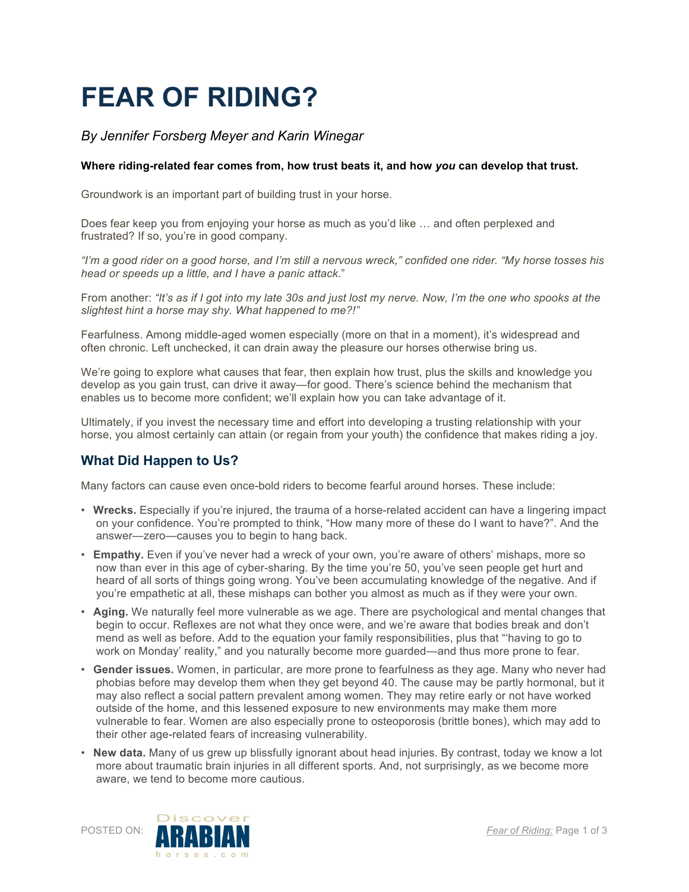# **FEAR OF RIDING?**

## *By Jennifer Forsberg Meyer and Karin Winegar*

#### **Where riding-related fear comes from, how trust beats it, and how** *you* **can develop that trust.**

Groundwork is an important part of building trust in your horse.

Does fear keep you from enjoying your horse as much as you'd like … and often perplexed and frustrated? If so, you're in good company.

*"I'm a good rider on a good horse, and I'm still a nervous wreck," confided one rider. "My horse tosses his head or speeds up a little, and I have a panic attack*."

From another: *"It's as if I got into my late 30s and just lost my nerve. Now, I'm the one who spooks at the slightest hint a horse may shy. What happened to me?!"*

Fearfulness. Among middle-aged women especially (more on that in a moment), it's widespread and often chronic. Left unchecked, it can drain away the pleasure our horses otherwise bring us.

We're going to explore what causes that fear, then explain how trust, plus the skills and knowledge you develop as you gain trust, can drive it away—for good. There's science behind the mechanism that enables us to become more confident; we'll explain how you can take advantage of it.

Ultimately, if you invest the necessary time and effort into developing a trusting relationship with your horse, you almost certainly can attain (or regain from your youth) the confidence that makes riding a joy.

#### **What Did Happen to Us?**

Many factors can cause even once-bold riders to become fearful around horses. These include:

- **Wrecks.** Especially if you're injured, the trauma of a horse-related accident can have a lingering impact on your confidence. You're prompted to think, "How many more of these do I want to have?". And the answer—zero—causes you to begin to hang back.
- **Empathy.** Even if you've never had a wreck of your own, you're aware of others' mishaps, more so now than ever in this age of cyber-sharing. By the time you're 50, you've seen people get hurt and heard of all sorts of things going wrong. You've been accumulating knowledge of the negative. And if you're empathetic at all, these mishaps can bother you almost as much as if they were your own.
- **Aging.** We naturally feel more vulnerable as we age. There are psychological and mental changes that begin to occur. Reflexes are not what they once were, and we're aware that bodies break and don't mend as well as before. Add to the equation your family responsibilities, plus that "'having to go to work on Monday' reality," and you naturally become more guarded—and thus more prone to fear.
- **Gender issues.** Women, in particular, are more prone to fearfulness as they age. Many who never had phobias before may develop them when they get beyond 40. The cause may be partly hormonal, but it may also reflect a social pattern prevalent among women. They may retire early or not have worked outside of the home, and this lessened exposure to new environments may make them more vulnerable to fear. Women are also especially prone to osteoporosis (brittle bones), which may add to their other age-related fears of increasing vulnerability.
- **New data.** Many of us grew up blissfully ignorant about head injuries. By contrast, today we know a lot more about traumatic brain injuries in all different sports. And, not surprisingly, as we become more aware, we tend to become more cautious.

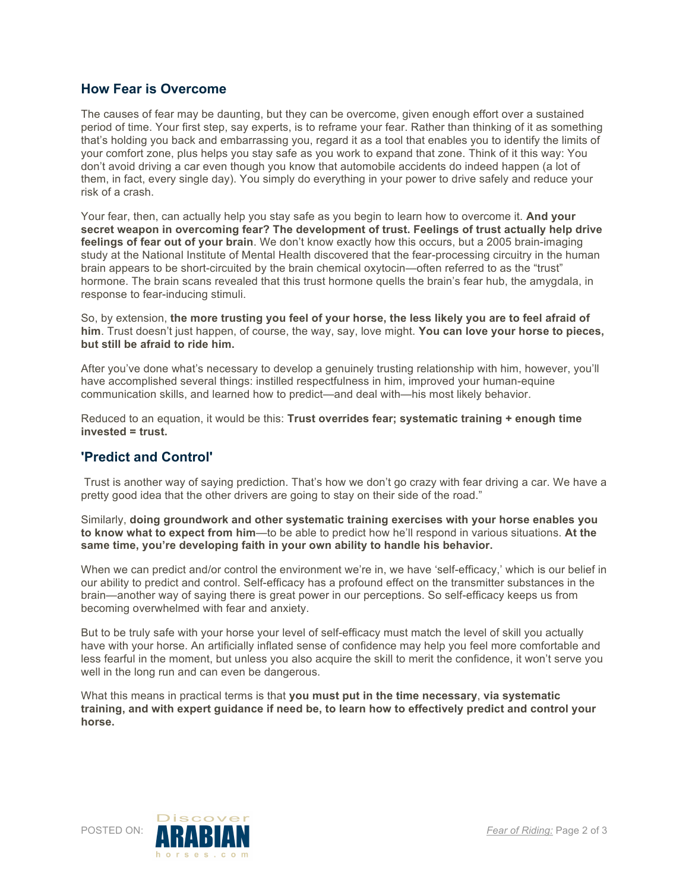### **How Fear is Overcome**

The causes of fear may be daunting, but they can be overcome, given enough effort over a sustained period of time. Your first step, say experts, is to reframe your fear. Rather than thinking of it as something that's holding you back and embarrassing you, regard it as a tool that enables you to identify the limits of your comfort zone, plus helps you stay safe as you work to expand that zone. Think of it this way: You don't avoid driving a car even though you know that automobile accidents do indeed happen (a lot of them, in fact, every single day). You simply do everything in your power to drive safely and reduce your risk of a crash.

Your fear, then, can actually help you stay safe as you begin to learn how to overcome it. **And your secret weapon in overcoming fear? The development of trust. Feelings of trust actually help drive**  feelings of fear out of your brain. We don't know exactly how this occurs, but a 2005 brain-imaging study at the National Institute of Mental Health discovered that the fear-processing circuitry in the human brain appears to be short-circuited by the brain chemical oxytocin—often referred to as the "trust" hormone. The brain scans revealed that this trust hormone quells the brain's fear hub, the amygdala, in response to fear-inducing stimuli.

So, by extension, **the more trusting you feel of your horse, the less likely you are to feel afraid of him**. Trust doesn't just happen, of course, the way, say, love might. **You can love your horse to pieces, but still be afraid to ride him.**

After you've done what's necessary to develop a genuinely trusting relationship with him, however, you'll have accomplished several things: instilled respectfulness in him, improved your human-equine communication skills, and learned how to predict—and deal with—his most likely behavior.

Reduced to an equation, it would be this: **Trust overrides fear; systematic training + enough time invested = trust.**

#### **'Predict and Control'**

 Trust is another way of saying prediction. That's how we don't go crazy with fear driving a car. We have a pretty good idea that the other drivers are going to stay on their side of the road."

Similarly, **doing groundwork and other systematic training exercises with your horse enables you to know what to expect from him**—to be able to predict how he'll respond in various situations. **At the same time, you're developing faith in your own ability to handle his behavior.**

When we can predict and/or control the environment we're in, we have 'self-efficacy,' which is our belief in our ability to predict and control. Self-efficacy has a profound effect on the transmitter substances in the brain—another way of saying there is great power in our perceptions. So self-efficacy keeps us from becoming overwhelmed with fear and anxiety.

But to be truly safe with your horse your level of self-efficacy must match the level of skill you actually have with your horse. An artificially inflated sense of confidence may help you feel more comfortable and less fearful in the moment, but unless you also acquire the skill to merit the confidence, it won't serve you well in the long run and can even be dangerous.

What this means in practical terms is that **you must put in the time necessary**, **via systematic training, and with expert guidance if need be, to learn how to effectively predict and control your horse.**